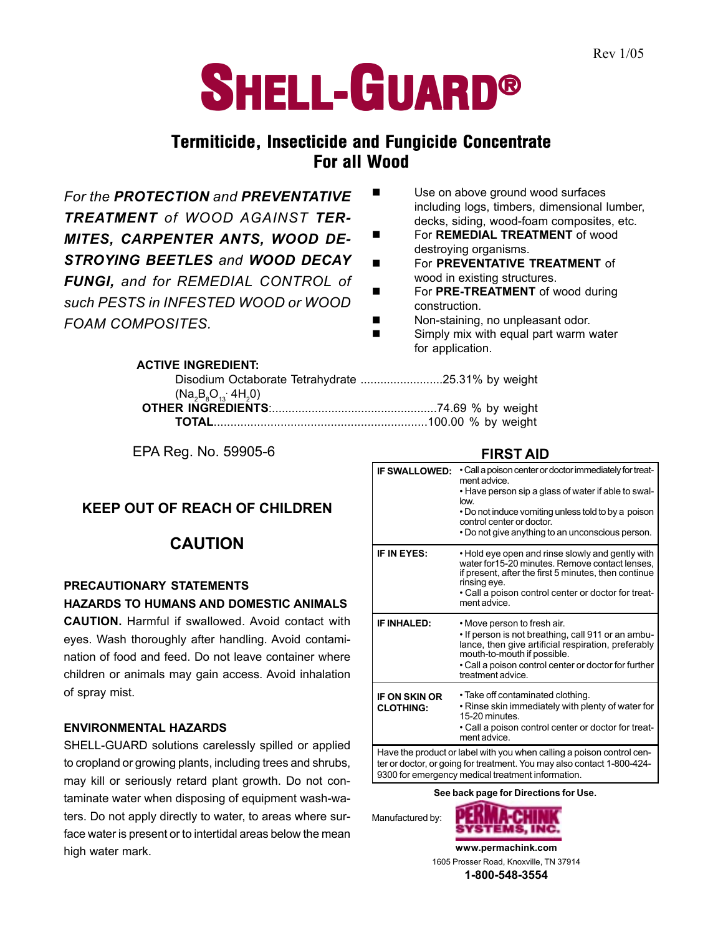# **SHELL-GUARD®**

# **Termiticide, Insecticide and Fungicide Concentrate For all Wood**

*For the PROTECTION and PREVENTATIVE TREATMENT of WOOD AGAINST TER-MITES, CARPENTER ANTS, WOOD DE-STROYING BEETLES and WOOD DECAY FUNGI, and for REMEDIAL CONTROL of such PESTS in INFESTED WOOD or WOOD FOAM COMPOSITES.*

- Use on above ground wood surfaces including logs, timbers, dimensional lumber, decks, siding, wood-foam composites, etc.
- **Example 3** For **REMEDIAL TREATMENT** of wood destroying organisms.
- ! For **PREVENTATIVE TREATMENT** of wood in existing structures.
- For PRE-TREATMENT of wood during construction.
- Non-staining, no unpleasant odor.
- **Example 12 Simply mix with equal part warm water** for application.

## **ACTIVE INGREDIENT:**

| $(Na_2B_8O_{13} 4H_2O)$ |  |
|-------------------------|--|
|                         |  |
|                         |  |

EPA Reg. No. 59905-6

## **KEEP OUT OF REACH OF CHILDREN**

# **CAUTION**

# **PRECAUTIONARY STATEMENTS**

## **HAZARDS TO HUMANS AND DOMESTIC ANIMALS**

**CAUTION.** Harmful if swallowed. Avoid contact with eyes. Wash thoroughly after handling. Avoid contamination of food and feed. Do not leave container where children or animals may gain access. Avoid inhalation of spray mist.

## **ENVIRONMENTAL HAZARDS**

SHELL-GUARD solutions carelessly spilled or applied to cropland or growing plants, including trees and shrubs, may kill or seriously retard plant growth. Do not contaminate water when disposing of equipment wash-waters. Do not apply directly to water, to areas where surface water is present or to intertidal areas below the mean high water mark.

**FIRST AID**

| <b>IF SWALLOWED:</b>                                                                                                                                                                                 | . Call a poison center or doctor immediately for treat-<br>ment advice.<br>• Have person sip a glass of water if able to swal-<br>low.<br>• Do not induce vomiting unless told to by a poison<br>control center or doctor.<br>. Do not give anything to an unconscious person. |  |
|------------------------------------------------------------------------------------------------------------------------------------------------------------------------------------------------------|--------------------------------------------------------------------------------------------------------------------------------------------------------------------------------------------------------------------------------------------------------------------------------|--|
| IF IN EYES:                                                                                                                                                                                          | • Hold eye open and rinse slowly and gently with<br>water for 15-20 minutes. Remove contact lenses,<br>if present, after the first 5 minutes, then continue<br>rinsing eye.<br>• Call a poison control center or doctor for treat-<br>ment advice.                             |  |
| <b>IF INHALED:</b>                                                                                                                                                                                   | • Move person to fresh air.<br>. If person is not breathing, call 911 or an ambu-<br>lance, then give artificial respiration, preferably<br>mouth-to-mouth if possible.<br>• Call a poison control center or doctor for further<br>treatment advice.                           |  |
| <b>IF ON SKIN OR</b><br><b>CLOTHING:</b>                                                                                                                                                             | • Take off contaminated clothing.<br>. Rinse skin immediately with plenty of water for<br>15-20 minutes.<br>• Call a poison control center or doctor for treat-<br>ment advice.                                                                                                |  |
| Have the product or label with you when calling a poison control cen-<br>ter or doctor, or going for treatment. You may also contact 1-800-424-<br>9300 for emergency medical treatment information. |                                                                                                                                                                                                                                                                                |  |
| See back page for Directions for Use.                                                                                                                                                                |                                                                                                                                                                                                                                                                                |  |





**www.permachink.com** 1605 Prosser Road, Knoxville, TN 37914 **1-800-548-3554**